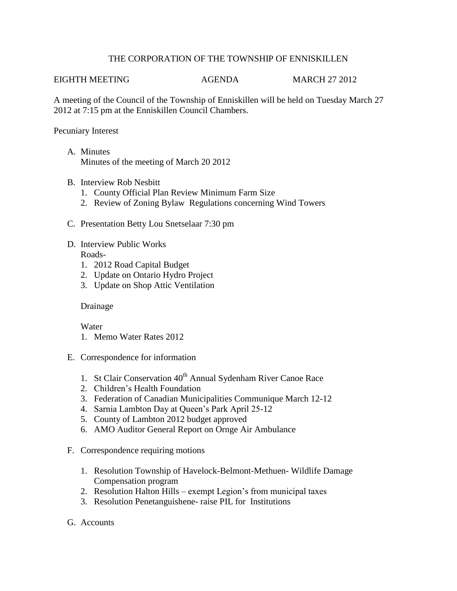## THE CORPORATION OF THE TOWNSHIP OF ENNISKILLEN

#### EIGHTH MEETING AGENDA MARCH 27 2012

A meeting of the Council of the Township of Enniskillen will be held on Tuesday March 27 2012 at 7:15 pm at the Enniskillen Council Chambers.

### Pecuniary Interest

- A. Minutes Minutes of the meeting of March 20 2012
- B. Interview Rob Nesbitt
	- 1. County Official Plan Review Minimum Farm Size
	- 2. Review of Zoning Bylaw Regulations concerning Wind Towers
- C. Presentation Betty Lou Snetselaar 7:30 pm
- D. Interview Public Works Roads-
	- 1. 2012 Road Capital Budget
	- 2. Update on Ontario Hydro Project
	- 3. Update on Shop Attic Ventilation

## Drainage

Water

- 1. Memo Water Rates 2012
- E. Correspondence for information
	- 1. St Clair Conservation 40<sup>th</sup> Annual Sydenham River Canoe Race
	- 2. Children's Health Foundation
	- 3. Federation of Canadian Municipalities Communique March 12-12
	- 4. Sarnia Lambton Day at Queen's Park April 25-12
	- 5. County of Lambton 2012 budget approved
	- 6. AMO Auditor General Report on Ornge Air Ambulance
- F. Correspondence requiring motions
	- 1. Resolution Township of Havelock-Belmont-Methuen- Wildlife Damage Compensation program
	- 2. Resolution Halton Hills exempt Legion's from municipal taxes
	- 3. Resolution Penetanguishene- raise PIL for Institutions
- G. Accounts